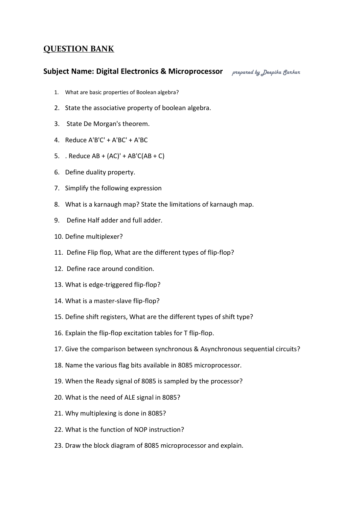## **QUESTION BANK**

## **Subject Name: Digital Electronics & Microprocessor** *prepared by Deepika Sarkar*

- 1. What are basic properties of Boolean algebra?
- 2. State the associative property of boolean algebra.
- 3. State De Morgan's theorem.
- 4. Reduce A'B'C' + A'BC' + A'BC
- 5. . Reduce  $AB + (AC)' + AB'C(AB + C)$
- 6. Define duality property.
- 7. Simplify the following expression
- 8. What is a karnaugh map? State the limitations of karnaugh map.
- 9. Define Half adder and full adder.
- 10. Define multiplexer?
- 11. Define Flip flop, What are the different types of flip-flop?
- 12. Define race around condition.
- 13. What is edge-triggered flip-flop?
- 14. What is a master-slave flip-flop?
- 15. Define shift registers, What are the different types of shift type?
- 16. Explain the flip-flop excitation tables for T flip-flop.
- 17. Give the comparison between synchronous & Asynchronous sequential circuits?
- 18. Name the various flag bits available in 8085 microprocessor.
- 19. When the Ready signal of 8085 is sampled by the processor?
- 20. What is the need of ALE signal in 8085?
- 21. Why multiplexing is done in 8085?
- 22. What is the function of NOP instruction?
- 23. Draw the block diagram of 8085 microprocessor and explain.